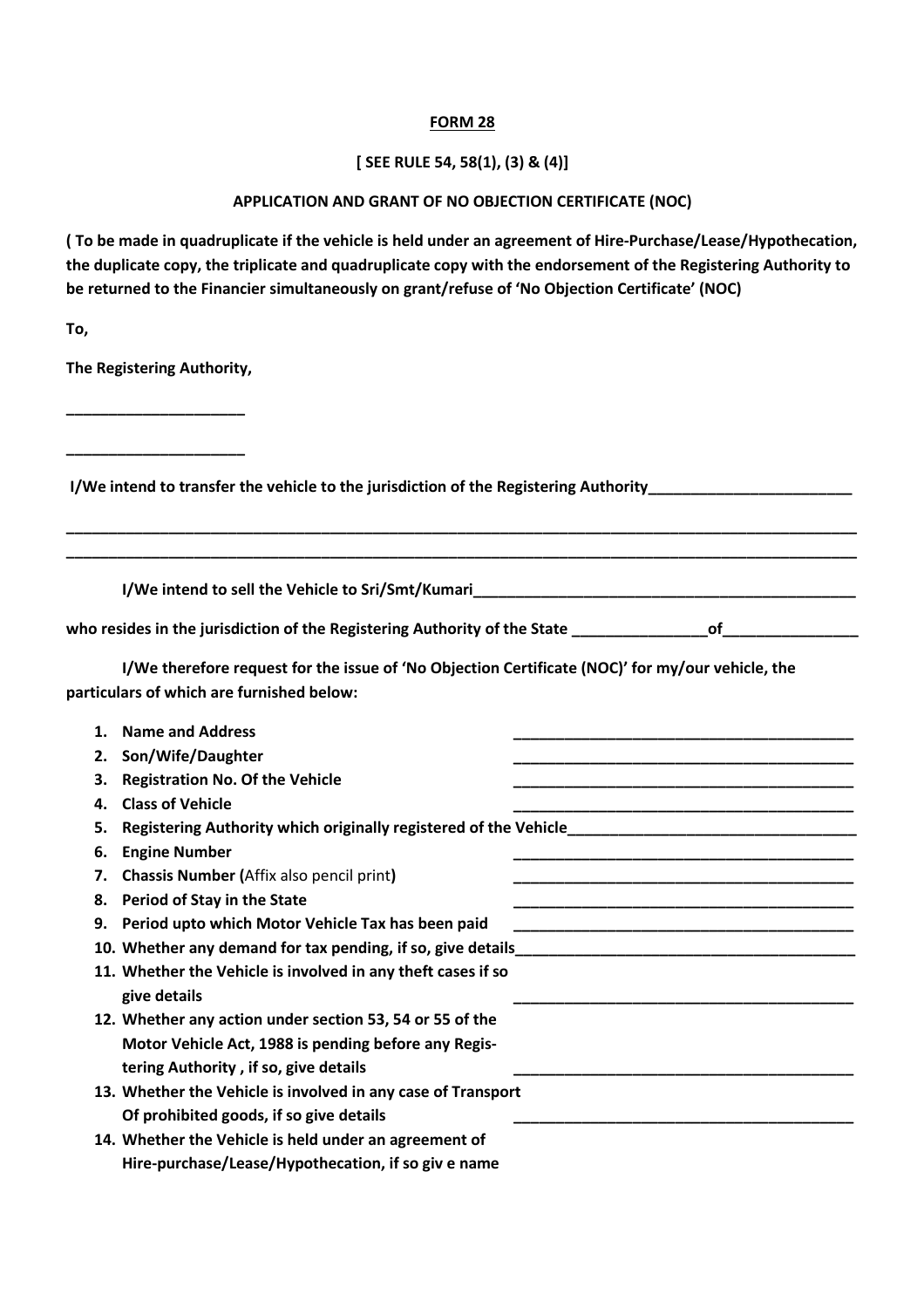### **FORM 28**

# **[ SEE RULE 54, 58(1), (3) & (4)]**

## **APPLICATION AND GRANT OF NO OBJECTION CERTIFICATE (NOC)**

**( To be made in quadruplicate if the vehicle is held under an agreement of Hire-Purchase/Lease/Hypothecation, the duplicate copy, the triplicate and quadruplicate copy with the endorsement of the Registering Authority to be returned to the Financier simultaneously on grant/refuse of 'No Objection Certificate' (NOC)** 

**To,** 

**The Registering Authority,** 

**\_\_\_\_\_\_\_\_\_\_\_\_\_\_\_\_\_\_\_\_\_** 

**\_\_\_\_\_\_\_\_\_\_\_\_\_\_\_\_\_\_\_\_\_** 

 **I/We intend to transfer the vehicle to the jurisdiction of the Registering Authority\_\_\_\_\_\_\_\_\_\_\_\_\_\_\_\_\_\_\_\_\_\_\_\_** 

**I/We intend to sell the Vehicle to Sri/Smt/Kumari\_\_\_\_\_\_\_\_\_\_\_\_\_\_\_\_\_\_\_\_\_\_\_\_\_\_\_\_\_\_** 

| who resides in the jurisdiction of the Registering Authority of the State |  |
|---------------------------------------------------------------------------|--|
|---------------------------------------------------------------------------|--|

**\_\_\_\_\_\_\_\_\_\_\_\_\_\_\_\_\_\_\_\_\_\_\_\_\_\_\_\_\_\_\_\_\_\_\_\_\_\_\_\_\_\_\_\_\_\_\_\_\_\_\_\_\_\_\_\_\_\_\_\_\_\_\_\_\_\_\_\_\_\_\_\_\_\_\_\_\_\_\_\_\_\_\_\_\_\_\_\_\_\_\_\_\_ \_\_\_\_\_\_\_\_\_\_\_\_\_\_\_\_\_\_\_\_\_\_\_\_\_\_\_\_\_\_\_\_\_\_\_\_\_\_\_\_\_\_\_\_\_\_\_\_\_\_\_\_\_\_\_\_\_\_\_\_\_\_\_\_\_\_\_\_\_\_\_\_\_\_\_\_\_\_\_\_\_\_\_\_\_\_\_\_\_\_\_\_\_** 

 **I/We therefore request for the issue of 'No Objection Certificate (NOC)' for my/our vehicle, the particulars of which are furnished below:** 

| 1. | <b>Name and Address</b>                                      |  |
|----|--------------------------------------------------------------|--|
| 2. | Son/Wife/Daughter                                            |  |
| з. | <b>Registration No. Of the Vehicle</b>                       |  |
| 4. | <b>Class of Vehicle</b>                                      |  |
| 5. |                                                              |  |
| 6. | <b>Engine Number</b>                                         |  |
| 7. | <b>Chassis Number (Affix also pencil print)</b>              |  |
| 8. | Period of Stay in the State                                  |  |
| 9. | Period upto which Motor Vehicle Tax has been paid            |  |
|    |                                                              |  |
|    | 11. Whether the Vehicle is involved in any theft cases if so |  |
|    | give details                                                 |  |
|    | 12. Whether any action under section 53, 54 or 55 of the     |  |
|    | Motor Vehicle Act, 1988 is pending before any Regis-         |  |
|    | tering Authority, if so, give details                        |  |
|    | 13. Whether the Vehicle is involved in any case of Transport |  |
|    | Of prohibited goods, if so give details                      |  |
|    | 14. Whether the Vehicle is held under an agreement of        |  |
|    | Hire-purchase/Lease/Hypothecation, if so giv e name          |  |